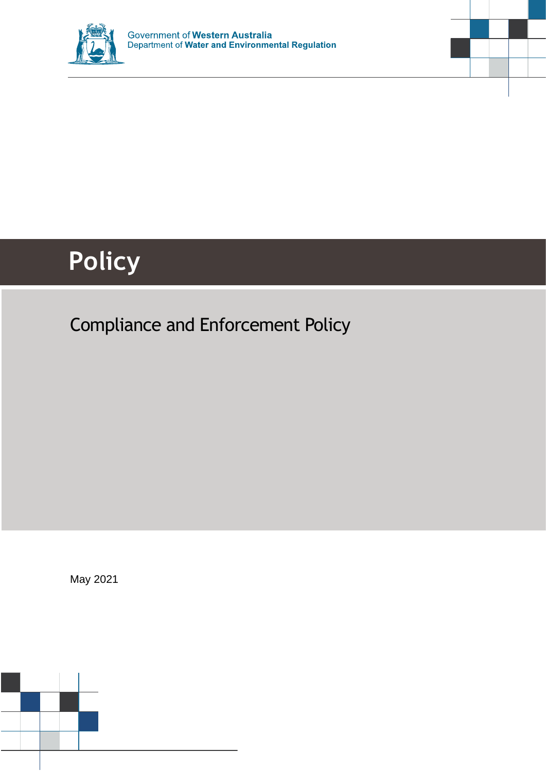



# **Policy**

# Compliance and Enforcement Policy

May 2021

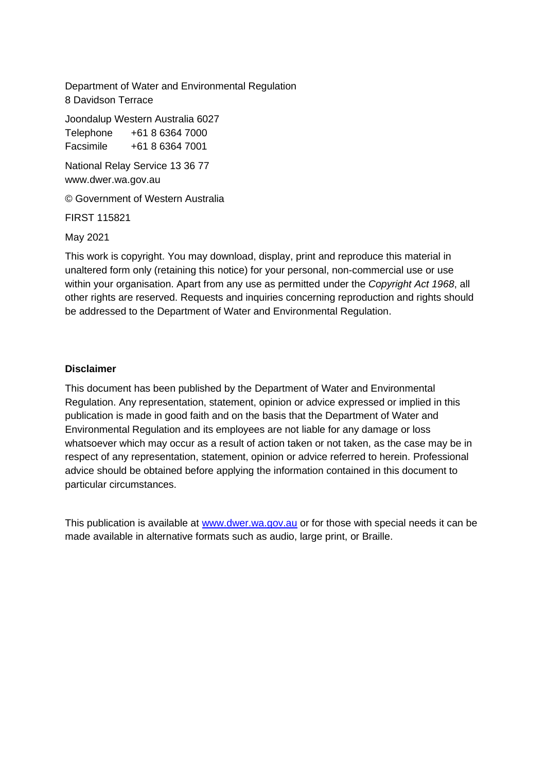Department of Water and Environmental Regulation 8 Davidson Terrace

Joondalup Western Australia 6027 Telephone +61 8 6364 7000

Facsimile +61 8 6364 7001

National Relay Service 13 36 77 www.dwer.wa.gov.au

© Government of Western Australia

FIRST 115821

May 2021

This work is copyright. You may download, display, print and reproduce this material in unaltered form only (retaining this notice) for your personal, non-commercial use or use within your organisation. Apart from any use as permitted under the *Copyright Act 1968*, all other rights are reserved. Requests and inquiries concerning reproduction and rights should be addressed to the Department of Water and Environmental Regulation.

#### **Disclaimer**

This document has been published by the Department of Water and Environmental Regulation. Any representation, statement, opinion or advice expressed or implied in this publication is made in good faith and on the basis that the Department of Water and Environmental Regulation and its employees are not liable for any damage or loss whatsoever which may occur as a result of action taken or not taken, as the case may be in respect of any representation, statement, opinion or advice referred to herein. Professional advice should be obtained before applying the information contained in this document to particular circumstances.

This publication is available at [www.dwer.wa.gov.au](http://www.dwer.wa.gov.au/) or for those with special needs it can be made available in alternative formats such as audio, large print, or Braille.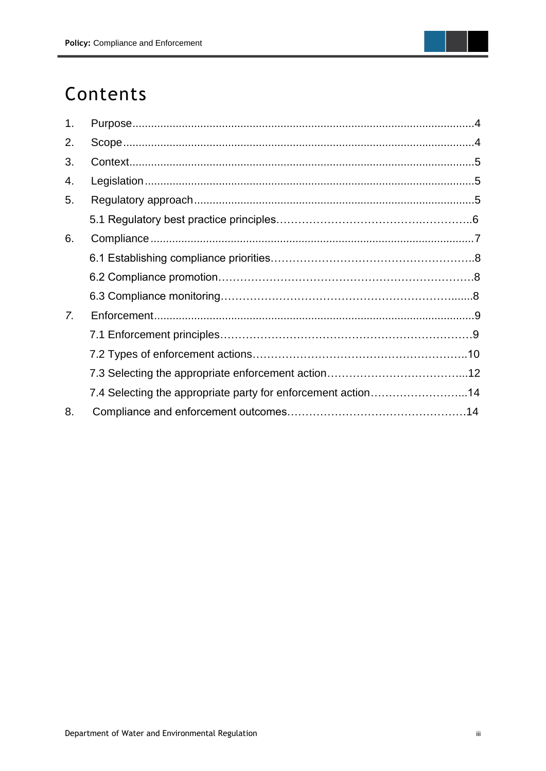

# Contents

| 1.               |                                                              |  |
|------------------|--------------------------------------------------------------|--|
| 2.               |                                                              |  |
| 3.               |                                                              |  |
| 4.               |                                                              |  |
| 5.               |                                                              |  |
|                  |                                                              |  |
| 6.               |                                                              |  |
|                  |                                                              |  |
|                  |                                                              |  |
|                  |                                                              |  |
| $\overline{7}$ . |                                                              |  |
|                  |                                                              |  |
|                  |                                                              |  |
|                  |                                                              |  |
|                  | 7.4 Selecting the appropriate party for enforcement action14 |  |
| 8.               |                                                              |  |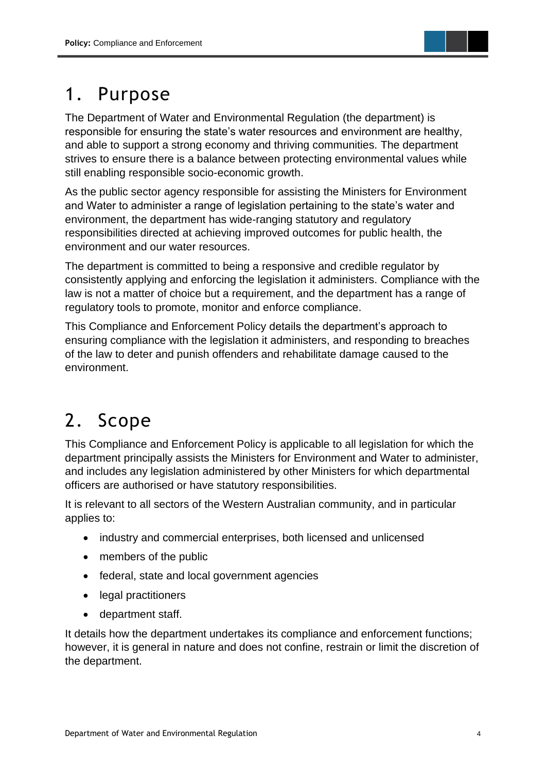

# <span id="page-3-0"></span>1. Purpose

The Department of Water and Environmental Regulation (the department) is responsible for ensuring the state's water resources and environment are healthy, and able to support a strong economy and thriving communities. The department strives to ensure there is a balance between protecting environmental values while still enabling responsible socio-economic growth.

As the public sector agency responsible for assisting the Ministers for Environment and Water to administer a range of legislation pertaining to the state's water and environment, the department has wide-ranging statutory and regulatory responsibilities directed at achieving improved outcomes for public health, the environment and our water resources.

The department is committed to being a responsive and credible regulator by consistently applying and enforcing the legislation it administers. Compliance with the law is not a matter of choice but a requirement, and the department has a range of regulatory tools to promote, monitor and enforce compliance.

This Compliance and Enforcement Policy details the department's approach to ensuring compliance with the legislation it administers, and responding to breaches of the law to deter and punish offenders and rehabilitate damage caused to the environment.

# <span id="page-3-1"></span>2. Scope

This Compliance and Enforcement Policy is applicable to all legislation for which the department principally assists the Ministers for Environment and Water to administer, and includes any legislation administered by other Ministers for which departmental officers are authorised or have statutory responsibilities.

It is relevant to all sectors of the Western Australian community, and in particular applies to:

- industry and commercial enterprises, both licensed and unlicensed
- members of the public
- federal, state and local government agencies
- legal practitioners
- department staff.

It details how the department undertakes its compliance and enforcement functions; however, it is general in nature and does not confine, restrain or limit the discretion of the department.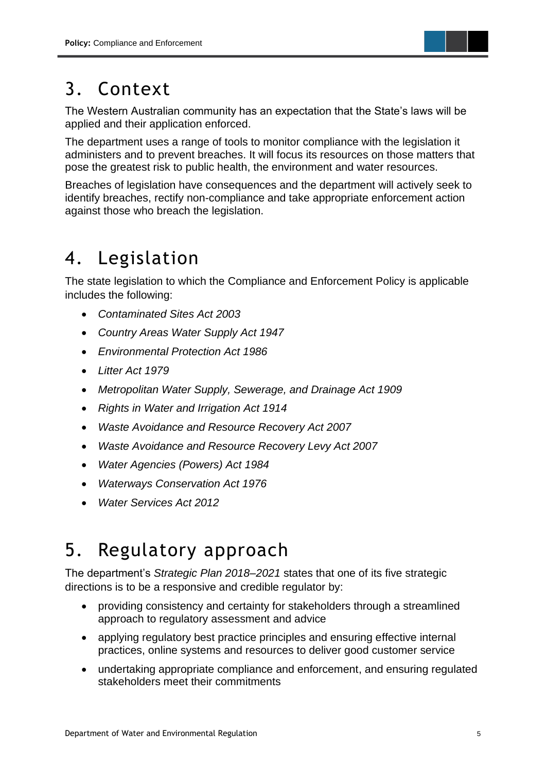

## <span id="page-4-0"></span>3. Context

The Western Australian community has an expectation that the State's laws will be applied and their application enforced.

The department uses a range of tools to monitor compliance with the legislation it administers and to prevent breaches. It will focus its resources on those matters that pose the greatest risk to public health, the environment and water resources.

Breaches of legislation have consequences and the department will actively seek to identify breaches, rectify non-compliance and take appropriate enforcement action against those who breach the legislation.

# <span id="page-4-1"></span>4. Legislation

The state legislation to which the Compliance and Enforcement Policy is applicable includes the following:

- *Contaminated Sites Act 2003*
- *Country Areas Water Supply Act 1947*
- *Environmental Protection Act 1986*
- *Litter Act 1979*
- *Metropolitan Water Supply, Sewerage, and Drainage Act 1909*
- *Rights in Water and Irrigation Act 1914*
- *Waste Avoidance and Resource Recovery Act 2007*
- *Waste Avoidance and Resource Recovery Levy Act 2007*
- *Water Agencies (Powers) Act 1984*
- *Waterways Conservation Act 1976*
- *Water Services Act 2012*

### <span id="page-4-2"></span>5. Regulatory approach

The department's *Strategic Plan 2018–2021* states that one of its five strategic directions is to be a responsive and credible regulator by:

- providing consistency and certainty for stakeholders through a streamlined approach to regulatory assessment and advice
- applying regulatory best practice principles and ensuring effective internal practices, online systems and resources to deliver good customer service
- undertaking appropriate compliance and enforcement, and ensuring regulated stakeholders meet their commitments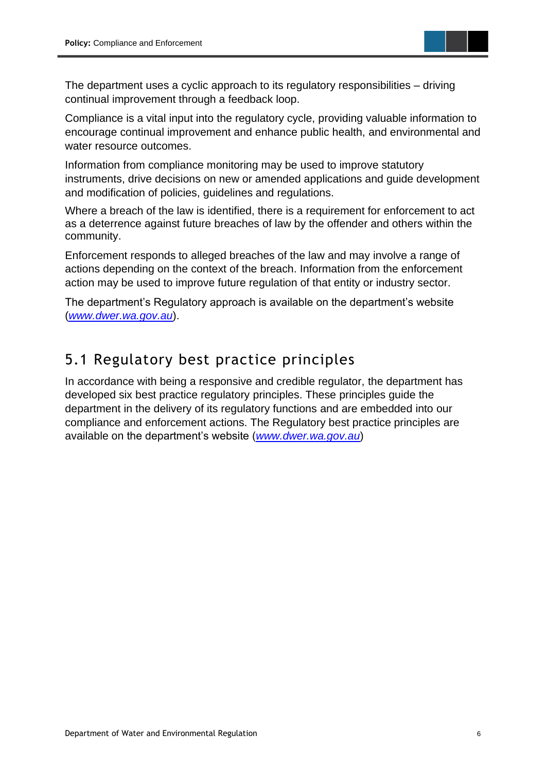

The department uses a cyclic approach to its regulatory responsibilities – driving continual improvement through a feedback loop.

Compliance is a vital input into the regulatory cycle, providing valuable information to encourage continual improvement and enhance public health, and environmental and water resource outcomes.

Information from compliance monitoring may be used to improve statutory instruments, drive decisions on new or amended applications and guide development and modification of policies, guidelines and regulations.

Where a breach of the law is identified, there is a requirement for enforcement to act as a deterrence against future breaches of law by the offender and others within the community.

Enforcement responds to alleged breaches of the law and may involve a range of actions depending on the context of the breach. Information from the enforcement action may be used to improve future regulation of that entity or industry sector.

The department's Regulatory approach is available on the department's website (*[www.dwer.wa.gov.au](http://www.dwer.wa.gov.au/)*).

### 5.1 Regulatory best practice principles

In accordance with being a responsive and credible regulator, the department has developed six best practice regulatory principles. These principles guide the department in the delivery of its regulatory functions and are embedded into our compliance and enforcement actions. The Regulatory best practice principles are available on the department's website (*[www.dwer.wa.gov.au](http://www.dwer.wa.gov.au/)*)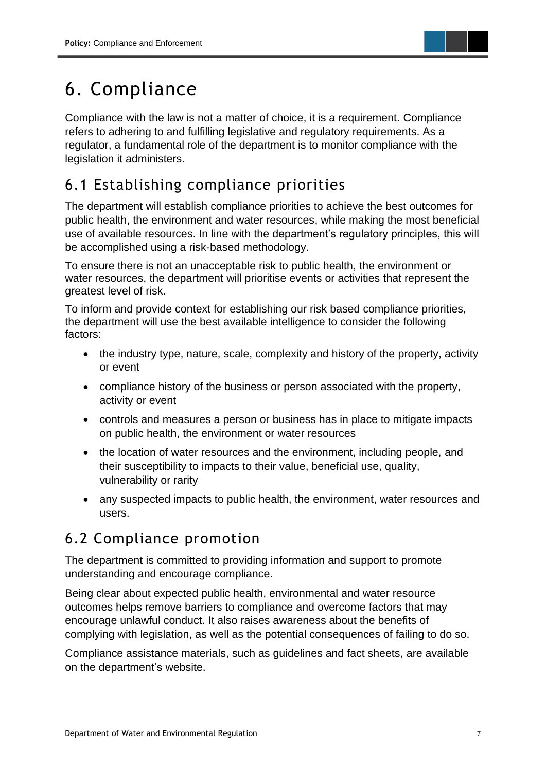

# 6. Compliance

Compliance with the law is not a matter of choice, it is a requirement. Compliance refers to adhering to and fulfilling legislative and regulatory requirements. As a regulator, a fundamental role of the department is to monitor compliance with the legislation it administers.

### 6.1 Establishing compliance priorities

The department will establish compliance priorities to achieve the best outcomes for public health, the environment and water resources, while making the most beneficial use of available resources. In line with the department's regulatory principles, this will be accomplished using a risk-based methodology.

To ensure there is not an unacceptable risk to public health, the environment or water resources, the department will prioritise events or activities that represent the greatest level of risk.

To inform and provide context for establishing our risk based compliance priorities, the department will use the best available intelligence to consider the following factors:

- the industry type, nature, scale, complexity and history of the property, activity or event
- compliance history of the business or person associated with the property, activity or event
- controls and measures a person or business has in place to mitigate impacts on public health, the environment or water resources
- the location of water resources and the environment, including people, and their susceptibility to impacts to their value, beneficial use, quality, vulnerability or rarity
- any suspected impacts to public health, the environment, water resources and users.

### 6.2 Compliance promotion

The department is committed to providing information and support to promote understanding and encourage compliance.

Being clear about expected public health, environmental and water resource outcomes helps remove barriers to compliance and overcome factors that may encourage unlawful conduct. It also raises awareness about the benefits of complying with legislation, as well as the potential consequences of failing to do so.

Compliance assistance materials, such as guidelines and fact sheets, are available on the department's website.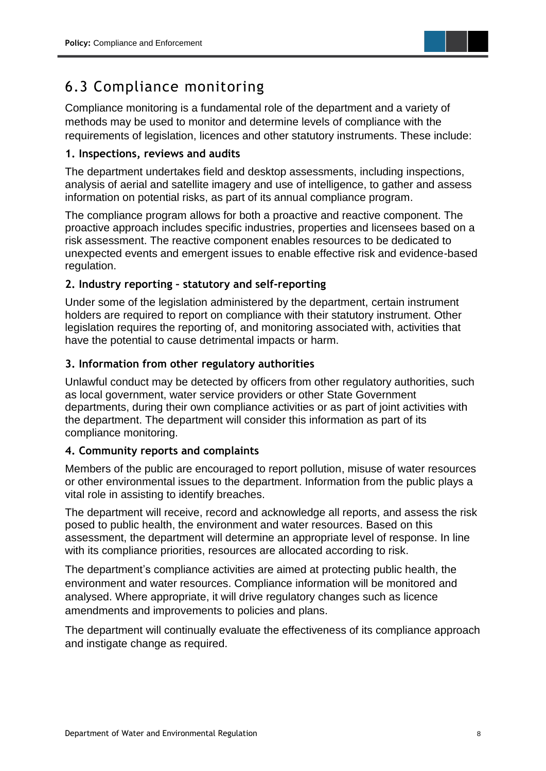

### 6.3 Compliance monitoring

Compliance monitoring is a fundamental role of the department and a variety of methods may be used to monitor and determine levels of compliance with the requirements of legislation, licences and other statutory instruments. These include:

#### **1. Inspections, reviews and audits**

The department undertakes field and desktop assessments, including inspections, analysis of aerial and satellite imagery and use of intelligence, to gather and assess information on potential risks, as part of its annual compliance program.

The compliance program allows for both a proactive and reactive component. The proactive approach includes specific industries, properties and licensees based on a risk assessment. The reactive component enables resources to be dedicated to unexpected events and emergent issues to enable effective risk and evidence-based regulation.

#### **2. Industry reporting – statutory and self-reporting**

Under some of the legislation administered by the department, certain instrument holders are required to report on compliance with their statutory instrument. Other legislation requires the reporting of, and monitoring associated with, activities that have the potential to cause detrimental impacts or harm.

#### **3. Information from other regulatory authorities**

Unlawful conduct may be detected by officers from other regulatory authorities, such as local government, water service providers or other State Government departments, during their own compliance activities or as part of joint activities with the department. The department will consider this information as part of its compliance monitoring.

#### **4. Community reports and complaints**

Members of the public are encouraged to report pollution, misuse of water resources or other environmental issues to the department. Information from the public plays a vital role in assisting to identify breaches.

The department will receive, record and acknowledge all reports, and assess the risk posed to public health, the environment and water resources. Based on this assessment, the department will determine an appropriate level of response. In line with its compliance priorities, resources are allocated according to risk.

The department's compliance activities are aimed at protecting public health, the environment and water resources. Compliance information will be monitored and analysed. Where appropriate, it will drive regulatory changes such as licence amendments and improvements to policies and plans.

The department will continually evaluate the effectiveness of its compliance approach and instigate change as required.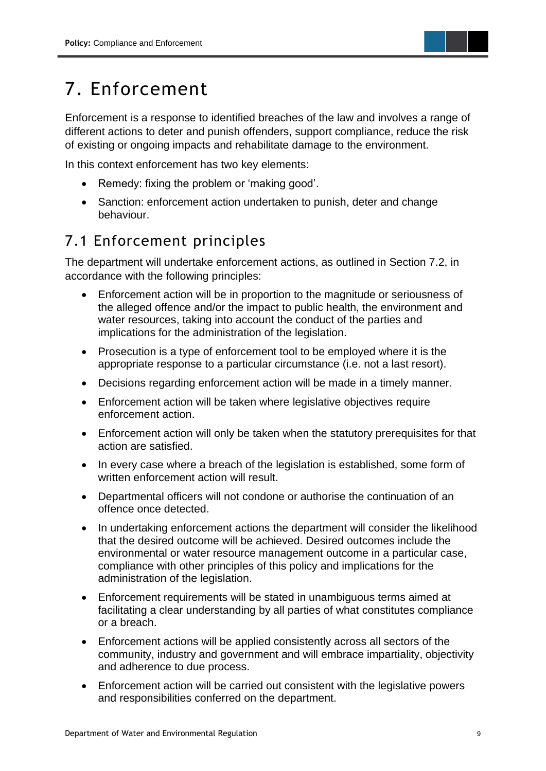

# 7. Enforcement

Enforcement is a response to identified breaches of the law and involves a range of different actions to deter and punish offenders, support compliance, reduce the risk of existing or ongoing impacts and rehabilitate damage to the environment.

In this context enforcement has two key elements:

- Remedy: fixing the problem or 'making good'.
- Sanction: enforcement action undertaken to punish, deter and change behaviour.

### 7.1 Enforcement principles

The department will undertake enforcement actions, as outlined in Section 7.2, in accordance with the following principles:

- Enforcement action will be in proportion to the magnitude or seriousness of the alleged offence and/or the impact to public health, the environment and water resources, taking into account the conduct of the parties and implications for the administration of the legislation.
- Prosecution is a type of enforcement tool to be employed where it is the appropriate response to a particular circumstance (i.e. not a last resort).
- Decisions regarding enforcement action will be made in a timely manner.
- Enforcement action will be taken where legislative objectives require enforcement action.
- Enforcement action will only be taken when the statutory prerequisites for that action are satisfied.
- In every case where a breach of the legislation is established, some form of written enforcement action will result.
- Departmental officers will not condone or authorise the continuation of an offence once detected.
- In undertaking enforcement actions the department will consider the likelihood that the desired outcome will be achieved. Desired outcomes include the environmental or water resource management outcome in a particular case, compliance with other principles of this policy and implications for the administration of the legislation.
- Enforcement requirements will be stated in unambiguous terms aimed at facilitating a clear understanding by all parties of what constitutes compliance or a breach.
- Enforcement actions will be applied consistently across all sectors of the community, industry and government and will embrace impartiality, objectivity and adherence to due process.
- Enforcement action will be carried out consistent with the legislative powers and responsibilities conferred on the department.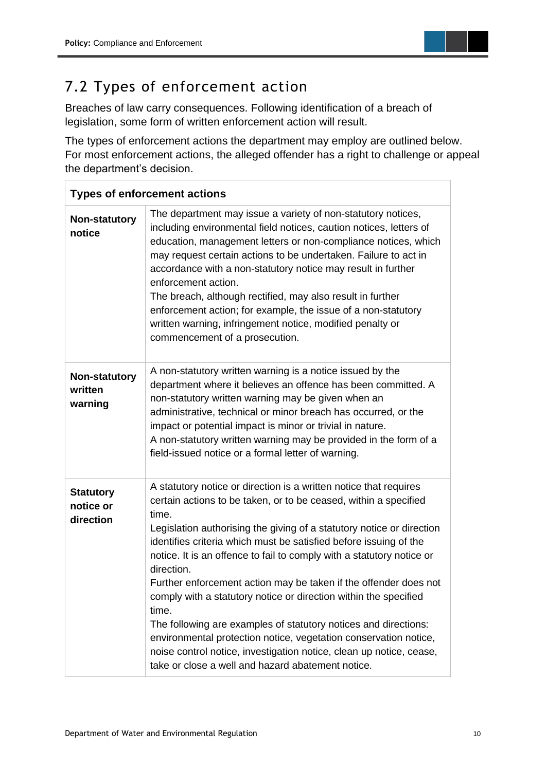

### 7.2 Types of enforcement action

Breaches of law carry consequences. Following identification of a breach of legislation, some form of written enforcement action will result.

The types of enforcement actions the department may employ are outlined below. For most enforcement actions, the alleged offender has a right to challenge or appeal the department's decision.

| <b>Types of enforcement actions</b>        |                                                                                                                                                                                                                                                                                                                                                                                                                                                                                                                                                                                                                                                                                                                                                                                                         |  |  |  |
|--------------------------------------------|---------------------------------------------------------------------------------------------------------------------------------------------------------------------------------------------------------------------------------------------------------------------------------------------------------------------------------------------------------------------------------------------------------------------------------------------------------------------------------------------------------------------------------------------------------------------------------------------------------------------------------------------------------------------------------------------------------------------------------------------------------------------------------------------------------|--|--|--|
| Non-statutory<br>notice                    | The department may issue a variety of non-statutory notices,<br>including environmental field notices, caution notices, letters of<br>education, management letters or non-compliance notices, which<br>may request certain actions to be undertaken. Failure to act in<br>accordance with a non-statutory notice may result in further<br>enforcement action.<br>The breach, although rectified, may also result in further<br>enforcement action; for example, the issue of a non-statutory<br>written warning, infringement notice, modified penalty or<br>commencement of a prosecution.                                                                                                                                                                                                            |  |  |  |
| Non-statutory<br>written<br>warning        | A non-statutory written warning is a notice issued by the<br>department where it believes an offence has been committed. A<br>non-statutory written warning may be given when an<br>administrative, technical or minor breach has occurred, or the<br>impact or potential impact is minor or trivial in nature.<br>A non-statutory written warning may be provided in the form of a<br>field-issued notice or a formal letter of warning.                                                                                                                                                                                                                                                                                                                                                               |  |  |  |
| <b>Statutory</b><br>notice or<br>direction | A statutory notice or direction is a written notice that requires<br>certain actions to be taken, or to be ceased, within a specified<br>time.<br>Legislation authorising the giving of a statutory notice or direction<br>identifies criteria which must be satisfied before issuing of the<br>notice. It is an offence to fail to comply with a statutory notice or<br>direction.<br>Further enforcement action may be taken if the offender does not<br>comply with a statutory notice or direction within the specified<br>time.<br>The following are examples of statutory notices and directions:<br>environmental protection notice, vegetation conservation notice,<br>noise control notice, investigation notice, clean up notice, cease,<br>take or close a well and hazard abatement notice. |  |  |  |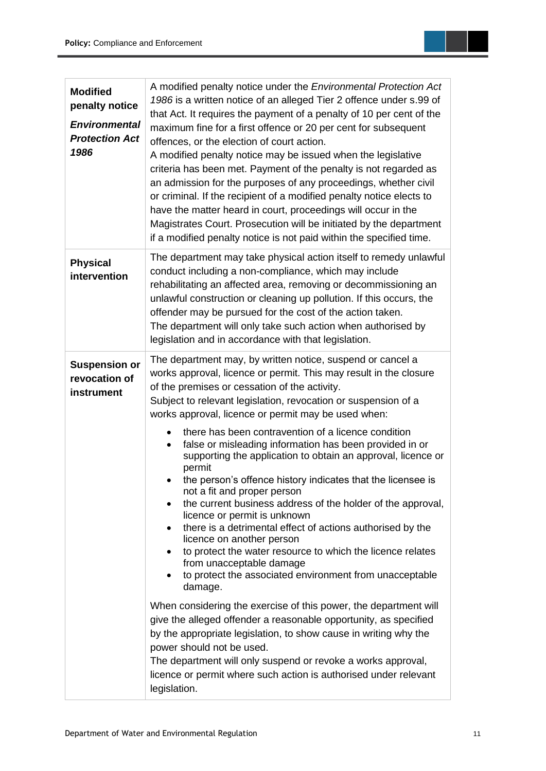| <b>Modified</b><br>penalty notice<br><b>Environmental</b><br><b>Protection Act</b><br>1986 | A modified penalty notice under the <i>Environmental Protection Act</i><br>1986 is a written notice of an alleged Tier 2 offence under s.99 of<br>that Act. It requires the payment of a penalty of 10 per cent of the<br>maximum fine for a first offence or 20 per cent for subsequent<br>offences, or the election of court action.<br>A modified penalty notice may be issued when the legislative<br>criteria has been met. Payment of the penalty is not regarded as<br>an admission for the purposes of any proceedings, whether civil<br>or criminal. If the recipient of a modified penalty notice elects to<br>have the matter heard in court, proceedings will occur in the<br>Magistrates Court. Prosecution will be initiated by the department<br>if a modified penalty notice is not paid within the specified time.                                                                                                                                                                                                                                                                                                                                                                                                                                                                                                                                                  |  |  |
|--------------------------------------------------------------------------------------------|--------------------------------------------------------------------------------------------------------------------------------------------------------------------------------------------------------------------------------------------------------------------------------------------------------------------------------------------------------------------------------------------------------------------------------------------------------------------------------------------------------------------------------------------------------------------------------------------------------------------------------------------------------------------------------------------------------------------------------------------------------------------------------------------------------------------------------------------------------------------------------------------------------------------------------------------------------------------------------------------------------------------------------------------------------------------------------------------------------------------------------------------------------------------------------------------------------------------------------------------------------------------------------------------------------------------------------------------------------------------------------------|--|--|
| <b>Physical</b><br>intervention                                                            | The department may take physical action itself to remedy unlawful<br>conduct including a non-compliance, which may include<br>rehabilitating an affected area, removing or decommissioning an<br>unlawful construction or cleaning up pollution. If this occurs, the<br>offender may be pursued for the cost of the action taken.<br>The department will only take such action when authorised by<br>legislation and in accordance with that legislation.                                                                                                                                                                                                                                                                                                                                                                                                                                                                                                                                                                                                                                                                                                                                                                                                                                                                                                                            |  |  |
| <b>Suspension or</b><br>revocation of<br>instrument                                        | The department may, by written notice, suspend or cancel a<br>works approval, licence or permit. This may result in the closure<br>of the premises or cessation of the activity.<br>Subject to relevant legislation, revocation or suspension of a<br>works approval, licence or permit may be used when:<br>there has been contravention of a licence condition<br>$\bullet$<br>false or misleading information has been provided in or<br>$\bullet$<br>supporting the application to obtain an approval, licence or<br>permit<br>the person's offence history indicates that the licensee is<br>not a fit and proper person<br>the current business address of the holder of the approval,<br>licence or permit is unknown<br>there is a detrimental effect of actions authorised by the<br>licence on another person<br>to protect the water resource to which the licence relates<br>from unacceptable damage<br>to protect the associated environment from unacceptable<br>damage.<br>When considering the exercise of this power, the department will<br>give the alleged offender a reasonable opportunity, as specified<br>by the appropriate legislation, to show cause in writing why the<br>power should not be used.<br>The department will only suspend or revoke a works approval,<br>licence or permit where such action is authorised under relevant<br>legislation. |  |  |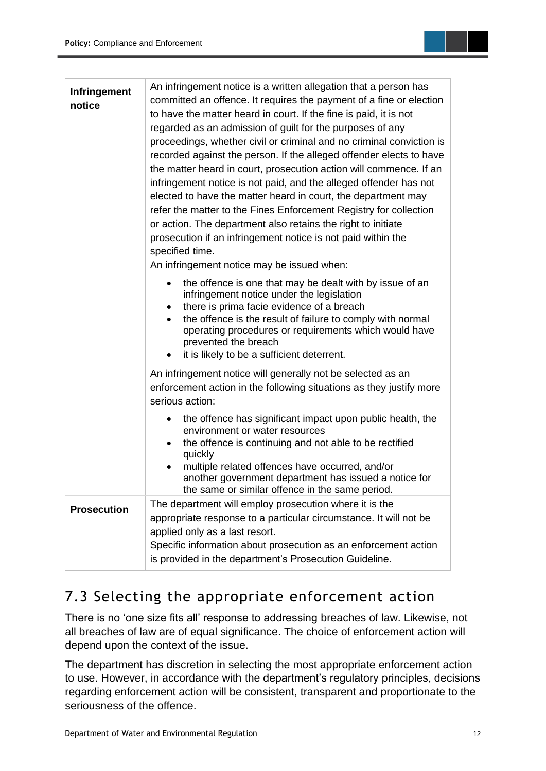

| Infringement<br>notice | An infringement notice is a written allegation that a person has<br>committed an offence. It requires the payment of a fine or election<br>to have the matter heard in court. If the fine is paid, it is not<br>regarded as an admission of guilt for the purposes of any<br>proceedings, whether civil or criminal and no criminal conviction is<br>recorded against the person. If the alleged offender elects to have<br>the matter heard in court, prosecution action will commence. If an<br>infringement notice is not paid, and the alleged offender has not<br>elected to have the matter heard in court, the department may<br>refer the matter to the Fines Enforcement Registry for collection<br>or action. The department also retains the right to initiate<br>prosecution if an infringement notice is not paid within the<br>specified time.<br>An infringement notice may be issued when: |
|------------------------|------------------------------------------------------------------------------------------------------------------------------------------------------------------------------------------------------------------------------------------------------------------------------------------------------------------------------------------------------------------------------------------------------------------------------------------------------------------------------------------------------------------------------------------------------------------------------------------------------------------------------------------------------------------------------------------------------------------------------------------------------------------------------------------------------------------------------------------------------------------------------------------------------------|
|                        | the offence is one that may be dealt with by issue of an<br>٠<br>infringement notice under the legislation<br>there is prima facie evidence of a breach<br>٠<br>the offence is the result of failure to comply with normal<br>operating procedures or requirements which would have<br>prevented the breach<br>it is likely to be a sufficient deterrent.                                                                                                                                                                                                                                                                                                                                                                                                                                                                                                                                                  |
|                        | An infringement notice will generally not be selected as an<br>enforcement action in the following situations as they justify more<br>serious action:                                                                                                                                                                                                                                                                                                                                                                                                                                                                                                                                                                                                                                                                                                                                                      |
|                        | the offence has significant impact upon public health, the<br>$\bullet$<br>environment or water resources<br>the offence is continuing and not able to be rectified<br>٠<br>quickly<br>multiple related offences have occurred, and/or<br>٠<br>another government department has issued a notice for<br>the same or similar offence in the same period.                                                                                                                                                                                                                                                                                                                                                                                                                                                                                                                                                    |
| <b>Prosecution</b>     | The department will employ prosecution where it is the<br>appropriate response to a particular circumstance. It will not be<br>applied only as a last resort.<br>Specific information about prosecution as an enforcement action<br>is provided in the department's Prosecution Guideline.                                                                                                                                                                                                                                                                                                                                                                                                                                                                                                                                                                                                                 |

### 7.3 Selecting the appropriate enforcement action

There is no 'one size fits all' response to addressing breaches of law. Likewise, not all breaches of law are of equal significance. The choice of enforcement action will depend upon the context of the issue.

The department has discretion in selecting the most appropriate enforcement action to use. However, in accordance with the department's regulatory principles, decisions regarding enforcement action will be consistent, transparent and proportionate to the seriousness of the offence.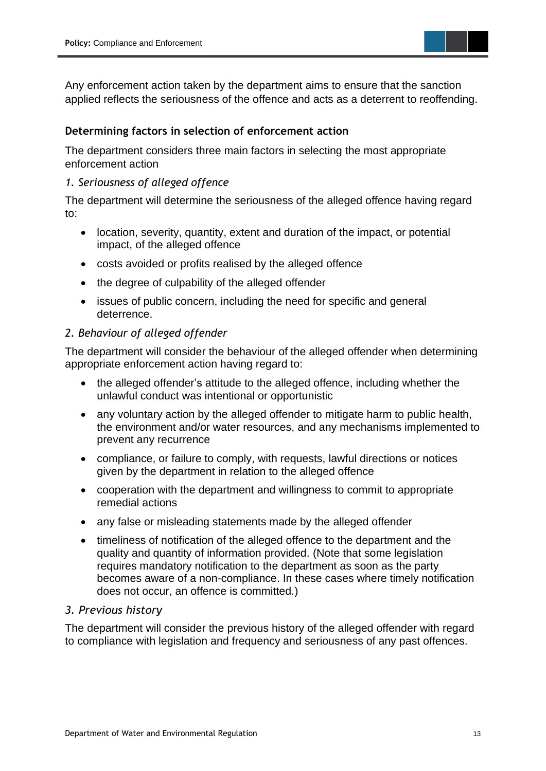

Any enforcement action taken by the department aims to ensure that the sanction applied reflects the seriousness of the offence and acts as a deterrent to reoffending.

#### **Determining factors in selection of enforcement action**

The department considers three main factors in selecting the most appropriate enforcement action

#### *1. Seriousness of alleged offence*

The department will determine the seriousness of the alleged offence having regard to:

- location, severity, quantity, extent and duration of the impact, or potential impact, of the alleged offence
- costs avoided or profits realised by the alleged offence
- the degree of culpability of the alleged offender
- issues of public concern, including the need for specific and general deterrence.

#### *2. Behaviour of alleged offender*

The department will consider the behaviour of the alleged offender when determining appropriate enforcement action having regard to:

- the alleged offender's attitude to the alleged offence, including whether the unlawful conduct was intentional or opportunistic
- any voluntary action by the alleged offender to mitigate harm to public health, the environment and/or water resources, and any mechanisms implemented to prevent any recurrence
- compliance, or failure to comply, with requests, lawful directions or notices given by the department in relation to the alleged offence
- cooperation with the department and willingness to commit to appropriate remedial actions
- any false or misleading statements made by the alleged offender
- timeliness of notification of the alleged offence to the department and the quality and quantity of information provided. (Note that some legislation requires mandatory notification to the department as soon as the party becomes aware of a non-compliance. In these cases where timely notification does not occur, an offence is committed.)

#### *3. Previous history*

The department will consider the previous history of the alleged offender with regard to compliance with legislation and frequency and seriousness of any past offences.